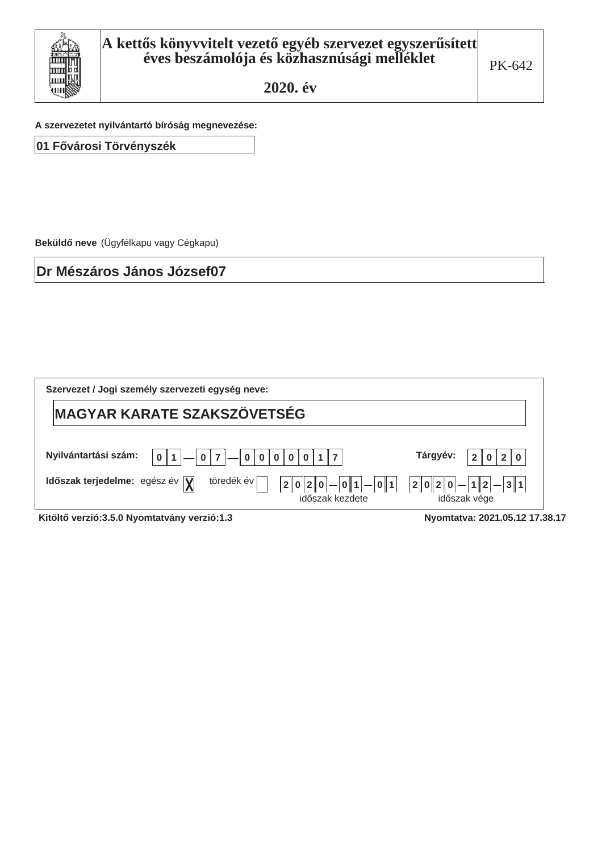

A szervezetet nyilvántartó bíróság megnevezése:

01 Fővárosi Törvényszék

Beküldő neve (Ügyfélkapu vagy Cégkapu)

Dr Mészáros János József07

| Szervezet / Jogi személy szervezeti egység neve:                                                                               |                                            |  |  |  |  |  |
|--------------------------------------------------------------------------------------------------------------------------------|--------------------------------------------|--|--|--|--|--|
| <b>MAGYAR KARATE SZAKSZÖVETSÉG</b>                                                                                             |                                            |  |  |  |  |  |
| Nyilvántartási szám:<br>Tárgyév:<br>$-000000117$<br>$-017$<br>0 1<br>0 2 0<br>$\overline{2}$                                   |                                            |  |  |  |  |  |
| töredék év<br>Időszak terjedelme: egész év $\sqrt{\mathbf{y}}$<br> 0 2 0 <br>0 1<br>$-01$<br>$\overline{2}$<br>időszak kezdete | $ 2 0 2 0  -  1 2  -  3 1$<br>időszak vége |  |  |  |  |  |

Kitöltő verzió:3.5.0 Nyomtatvány verzió:1.3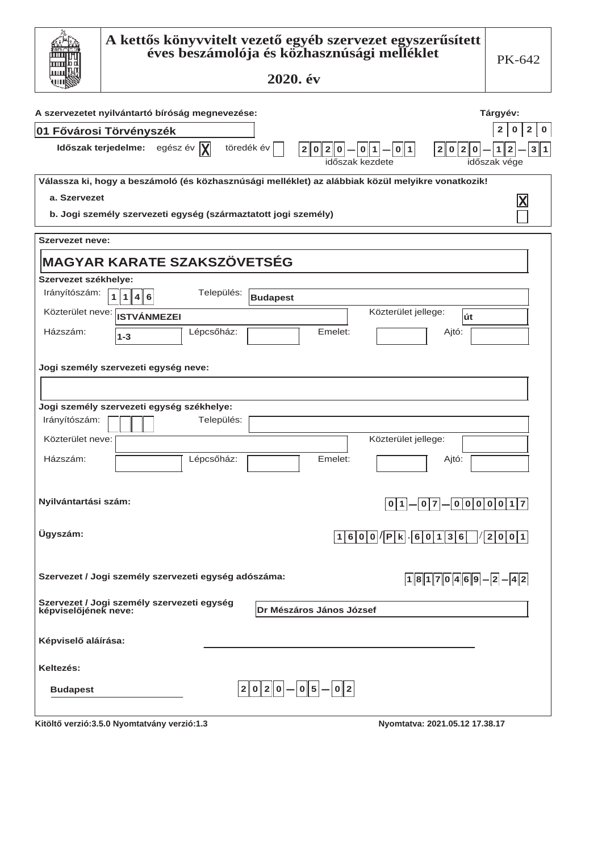| A kettős könyvvitelt vezető egyéb szervezet egyszerűsített<br>éves beszámolója és közhasznúsági melléklet<br>2020. év | PK-642                                                                |
|-----------------------------------------------------------------------------------------------------------------------|-----------------------------------------------------------------------|
| A szervezetet nyilvántartó bíróság megnevezése:                                                                       | Tárgyév:                                                              |
| 01 Fővárosi Törvényszék                                                                                               | $\mathbf{2}$<br>$\mathbf 0$<br>2<br>0                                 |
| Időszak terjedelme: egész év  X <br>töredék év<br> 2 0 2 0 <br>$2 0 2 0  -  0 1  -  0 1 $<br>időszak kezdete          | $\overline{2}$<br>3 <sup>1</sup><br>$\mathbf{1}$<br>1<br>időszak vége |
| Válassza ki, hogy a beszámoló (és közhasznúsági melléklet) az alábbiak közül melyikre vonatkozik!                     |                                                                       |
| a. Szervezet                                                                                                          | X                                                                     |
| b. Jogi személy szervezeti egység (származtatott jogi személy)                                                        |                                                                       |
| <b>Szervezet neve:</b>                                                                                                |                                                                       |
| <b>MAGYAR KARATE SZAKSZÖVETSÉG</b>                                                                                    |                                                                       |
| Szervezet székhelye:                                                                                                  |                                                                       |
| Irányítószám:<br>Település:<br>$\mathbf{1}$<br>$\mathbf{1}$<br>4 6<br><b>Budapest</b>                                 |                                                                       |
| Közterület jellege:<br>Közterület neve: ISTVÁNMEZEI<br>lút                                                            |                                                                       |
| Házszám:<br>Lépcsőház:<br>Emelet:<br>Ajtó:<br>$1 - 3$                                                                 |                                                                       |
| Jogi személy szervezeti egység neve:                                                                                  |                                                                       |
|                                                                                                                       |                                                                       |
| Jogi személy szervezeti egység székhelye:                                                                             |                                                                       |
| Irányítószám:<br>Település:                                                                                           |                                                                       |
| Közterület neve:<br>Közterület jellege:                                                                               |                                                                       |
| Házszám:                                                                                                              |                                                                       |
| Lépcsőház:<br>Emelet:<br>Ajtó:                                                                                        |                                                                       |
| Nyilvántartási szám:<br>$01 - 07 - 00000017$                                                                          |                                                                       |
| Ügyszám:<br>$1600$ $ P k$ $60136$ $ 2001$                                                                             |                                                                       |
| Szervezet / Jogi személy szervezeti egység adószáma:<br>$18170469-2-42$                                               |                                                                       |
| Szervezet / Jogi személy szervezeti egység<br>képviselőjének neve:<br><b>Dr Mészáros János József</b>                 |                                                                       |
| Képviselő aláírása:                                                                                                   |                                                                       |
| Keltezés:                                                                                                             |                                                                       |
| $2 0 2 0  -  0 5 -  0 2$<br><b>Budapest</b>                                                                           |                                                                       |
| Kitöltő verzió:3.5.0 Nyomtatvány verzió:1.3<br>Nyomtatva: 2021.05.12 17.38.17                                         |                                                                       |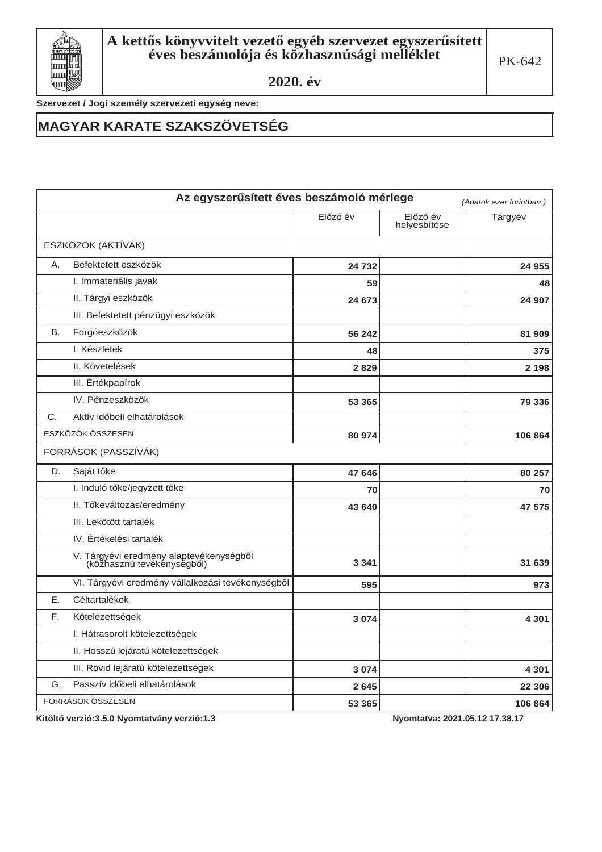

Szervezet / Jogi személy szervezeti egység neve:

### **MAGYAR KARATE SZAKSZÖVETSÉG**

|    | Az egyszerűsített éves beszámoló mérlege                              |          |                          | (Adatok ezer forintban.) |
|----|-----------------------------------------------------------------------|----------|--------------------------|--------------------------|
|    |                                                                       | Előző év | Előző év<br>helyesbítése | Tárgyév                  |
|    | ESZKÖZÖK (AKTÍVÁK)                                                    |          |                          |                          |
| A. | Befektetett eszközök                                                  | 24 732   |                          | 24 955                   |
|    | I. Immateriális javak                                                 | 59       |                          | 48                       |
|    | II. Tárgyi eszközök                                                   | 24 673   |                          | 24 907                   |
|    | III. Befektetett pénzügyi eszközök                                    |          |                          |                          |
| В. | Forgóeszközök                                                         | 56 242   |                          | 81 909                   |
|    | I. Készletek                                                          | 48       |                          | 375                      |
|    | II. Követelések                                                       | 2829     |                          | 2 1 9 8                  |
|    | III. Értékpapírok                                                     |          |                          |                          |
|    | IV. Pénzeszközök                                                      | 53 365   |                          | 79 336                   |
| C. | Aktív időbeli elhatárolások                                           |          |                          |                          |
|    | ESZKÖZÖK ÖSSZESEN                                                     | 80 974   |                          | 106 864                  |
|    | FORRÁSOK (PASSZÍVÁK)                                                  |          |                          |                          |
| D. | Saját tőke                                                            | 47 646   |                          | 80 257                   |
|    | I. Induló tőke/jegyzett tőke                                          | 70       |                          | 70                       |
|    | II. Tőkeváltozás/eredmény                                             | 43 640   |                          | 47 575                   |
|    | III. Lekötött tartalék                                                |          |                          |                          |
|    | IV. Értékelési tartalék                                               |          |                          |                          |
|    | V. Tárgyévi eredmény alaptevékenységből<br>(közhasznú tevékenységből) | 3 3 4 1  |                          | 31 639                   |
|    | VI. Tárgyévi eredmény vállalkozási tevékenységből                     | 595      |                          | 973                      |
| Е. | Céltartalékok                                                         |          |                          |                          |
| F. | Kötelezettségek                                                       | 3074     |                          | 4 3 0 1                  |
|    | I. Hátrasorolt kötelezettségek                                        |          |                          |                          |
|    | II. Hosszú lejáratú kötelezettségek                                   |          |                          |                          |
|    | III. Rövid lejáratú kötelezettségek                                   | 3 0 7 4  |                          | 4 3 0 1                  |
| G. | Passzív időbeli elhatárolások                                         | 2 6 4 5  |                          | 22 306                   |
|    | FORRÁSOK ÖSSZESEN                                                     | 53 365   |                          | 106 864                  |

Kitöltő verzió:3.5.0 Nyomtatvány verzió:1.3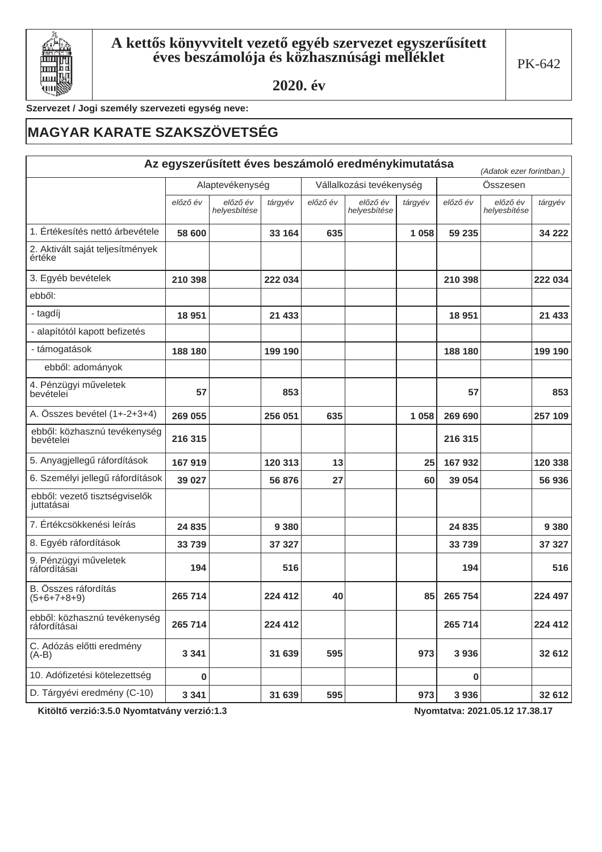

Szervezet / Jogi személy szervezeti egység neve:

## **MAGYAR KARATE SZAKSZÖVETSÉG**

|                                              |          |                          |         |          | Az egyszerűsített éves beszámoló eredménykimutatása |         |          | (Adatok ezer forintban.) |         |  |
|----------------------------------------------|----------|--------------------------|---------|----------|-----------------------------------------------------|---------|----------|--------------------------|---------|--|
|                                              |          | Alaptevékenység          |         |          | Vállalkozási tevékenység                            |         |          | Összesen                 |         |  |
|                                              | előző év | előző év<br>helyesbítése | tárgyév | előző év | előző év<br>helyesbítése                            | tárgyév | előző év | előző év<br>helyesbítése | tárgyév |  |
| 1. Értékesítés nettó árbevétele              | 58 600   |                          | 33 164  | 635      |                                                     | 1058    | 59 235   |                          | 34 222  |  |
| 2. Aktivált saját teljesítmények<br>értéke   |          |                          |         |          |                                                     |         |          |                          |         |  |
| 3. Egyéb bevételek                           | 210 398  |                          | 222 034 |          |                                                     |         | 210 398  |                          | 222 034 |  |
| ebből:                                       |          |                          |         |          |                                                     |         |          |                          |         |  |
| - tagdíj                                     | 18 951   |                          | 21 433  |          |                                                     |         | 18 9 51  |                          | 21 4 33 |  |
| - alapítótól kapott befizetés                |          |                          |         |          |                                                     |         |          |                          |         |  |
| - támogatások                                | 188 180  |                          | 199 190 |          |                                                     |         | 188 180  |                          | 199 190 |  |
| ebből: adományok                             |          |                          |         |          |                                                     |         |          |                          |         |  |
| 4. Pénzügyi műveletek<br>bevételei           | 57       |                          | 853     |          |                                                     |         | 57       |                          | 853     |  |
| A. Összes bevétel (1+-2+3+4)                 | 269 055  |                          | 256 051 | 635      |                                                     | 1058    | 269 690  |                          | 257 109 |  |
| ebből: közhasznú tevékenység<br>bevételei    | 216 315  |                          |         |          |                                                     |         | 216 315  |                          |         |  |
| 5. Anyagjellegű ráfordítások                 | 167 919  |                          | 120 313 | 13       |                                                     | 25      | 167 932  |                          | 120 338 |  |
| 6. Személyi jellegű ráfordítások             | 39 027   |                          | 56 876  | 27       |                                                     | 60      | 39 054   |                          | 56 936  |  |
| ebből: vezető tisztségviselők<br>juttatásai  |          |                          |         |          |                                                     |         |          |                          |         |  |
| 7. Értékcsökkenési leírás                    | 24 835   |                          | 9 3 8 0 |          |                                                     |         | 24 835   |                          | 9 3 8 0 |  |
| 8. Egyéb ráfordítások                        | 33 739   |                          | 37 327  |          |                                                     |         | 33 739   |                          | 37 327  |  |
| 9. Pénzügyi műveletek<br>ráfordításai        | 194      |                          | 516     |          |                                                     |         | 194      |                          | 516     |  |
| B. Összes ráfordítás<br>$(5+6+7+8+9)$        | 265 714  |                          | 224 412 | 40       |                                                     | 85      | 265 754  |                          | 224 497 |  |
| ebből: közhasznú tevékenység<br>ráfordításai | 265 714  |                          | 224 412 |          |                                                     |         | 265 714  |                          | 224 412 |  |
| C. Adózás előtti eredmény<br>$(A-B)$         | 3 3 4 1  |                          | 31 639  | 595      |                                                     | 973     | 3936     |                          | 32 612  |  |
| 10. Adófizetési kötelezettség                | 0        |                          |         |          |                                                     |         | 0        |                          |         |  |
| D. Tárgyévi eredmény (C-10)                  | 3 3 4 1  |                          | 31 639  | 595      |                                                     | 973     | 3936     |                          | 32 612  |  |

Kitöltő verzió:3.5.0 Nyomtatvány verzió:1.3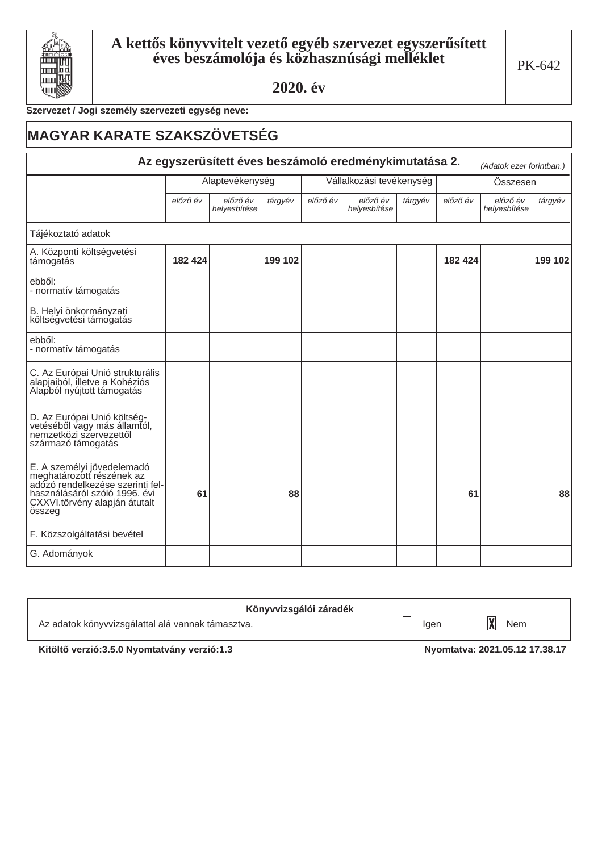

#### Szervezet / Jogi személy szervezeti egység neve:

# **MAGYAR KARATE SZAKSZÖVETSÉG** Az egyszerűsített éves beszámoló eredménykimutatása 2.

|                                                                                                                                                                         |                 |                          |         |                          | Az egyszerűsített éves beszámoló eredménykimutatása 2. |          |          | (Adatok ezer forintban.) |         |
|-------------------------------------------------------------------------------------------------------------------------------------------------------------------------|-----------------|--------------------------|---------|--------------------------|--------------------------------------------------------|----------|----------|--------------------------|---------|
|                                                                                                                                                                         | Alaptevékenység |                          |         | Vállalkozási tevékenység |                                                        | Összesen |          |                          |         |
|                                                                                                                                                                         | előző év        | előző év<br>helyesbítése | tárgyév | előző év                 | előző év<br>helyesbítése                               | tárgyév  | előző év | előző év<br>helyesbítése | tárgyév |
| Tájékoztató adatok                                                                                                                                                      |                 |                          |         |                          |                                                        |          |          |                          |         |
| A. Központi költségvetési<br>támogatás                                                                                                                                  | 182 424         |                          | 199 102 |                          |                                                        |          | 182 424  |                          | 199 102 |
| ebből:<br>- normatív támogatás                                                                                                                                          |                 |                          |         |                          |                                                        |          |          |                          |         |
| B. Helyi önkormányzati<br>költségvetési támogatás                                                                                                                       |                 |                          |         |                          |                                                        |          |          |                          |         |
| ebből:<br>- normatív támogatás                                                                                                                                          |                 |                          |         |                          |                                                        |          |          |                          |         |
| C. Az Európai Unió strukturális<br>alapjaiból, illetve a Kohéziós<br>Alapból nyújtott támogatás                                                                         |                 |                          |         |                          |                                                        |          |          |                          |         |
| D. Az Európai Unió költség-<br>vetéséből vagy más államtól,<br>nemzetközi szervezettől<br>származó támogatás                                                            |                 |                          |         |                          |                                                        |          |          |                          |         |
| E. A személyi jövedelemadó<br>meghatározott részének az<br>adózó rendelkezése szerinti fel-<br>használásáról szóló 1996. évi<br>CXXVI.törvény alapján átutalt<br>összeg | 61              |                          | 88      |                          |                                                        |          | 61       |                          | 88      |
| F. Közszolgáltatási bevétel                                                                                                                                             |                 |                          |         |                          |                                                        |          |          |                          |         |
| G. Adományok                                                                                                                                                            |                 |                          |         |                          |                                                        |          |          |                          |         |

| Könyvvizsgálói záradék                            |      |     |
|---------------------------------------------------|------|-----|
| Az adatok könyvvizsgálattal alá vannak támasztva. | lgen | Nem |
| ____                                              |      |     |

Kitöltő verzió:3.5.0 Nyomtatvány verzió:1.3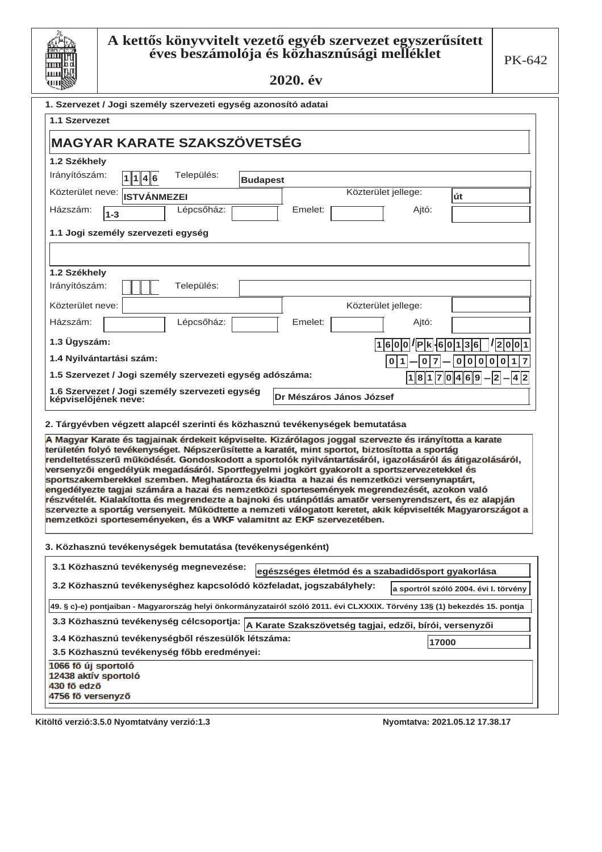

#### ${\bf A}$  kettős könyvvitelt vezető egyéb szervezet egyszerűsített éves beszámolója és közhasznúsági melléklet

2020. év

| 1. Szervezet / Jogi személy szervezeti egység azonosító adatai<br>1.1 Szervezet |                    |                                            |                 |                                                                                                                                                                                                                                                                                                                                                                                                                                                                                                                                                                                                                                                                                                                                                                                                                                         |                                     |                                       |
|---------------------------------------------------------------------------------|--------------------|--------------------------------------------|-----------------|-----------------------------------------------------------------------------------------------------------------------------------------------------------------------------------------------------------------------------------------------------------------------------------------------------------------------------------------------------------------------------------------------------------------------------------------------------------------------------------------------------------------------------------------------------------------------------------------------------------------------------------------------------------------------------------------------------------------------------------------------------------------------------------------------------------------------------------------|-------------------------------------|---------------------------------------|
| MAGYAR KARATE SZAKSZÖVETSÉG                                                     |                    |                                            |                 |                                                                                                                                                                                                                                                                                                                                                                                                                                                                                                                                                                                                                                                                                                                                                                                                                                         |                                     |                                       |
| 1.2 Székhely                                                                    |                    |                                            |                 |                                                                                                                                                                                                                                                                                                                                                                                                                                                                                                                                                                                                                                                                                                                                                                                                                                         |                                     |                                       |
| Irányítószám:                                                                   | 1 4 6              | Település:                                 | <b>Budapest</b> |                                                                                                                                                                                                                                                                                                                                                                                                                                                                                                                                                                                                                                                                                                                                                                                                                                         |                                     |                                       |
| Közterület neve:                                                                | <b>ISTVÁNMEZEI</b> |                                            |                 |                                                                                                                                                                                                                                                                                                                                                                                                                                                                                                                                                                                                                                                                                                                                                                                                                                         | Közterület jellege:                 | út                                    |
| Házszám:<br>$1 - 3$                                                             |                    | Lépcsőház:                                 |                 | Emelet:                                                                                                                                                                                                                                                                                                                                                                                                                                                                                                                                                                                                                                                                                                                                                                                                                                 | Ajtó:                               |                                       |
| 1.1 Jogi személy szervezeti egység                                              |                    |                                            |                 |                                                                                                                                                                                                                                                                                                                                                                                                                                                                                                                                                                                                                                                                                                                                                                                                                                         |                                     |                                       |
|                                                                                 |                    |                                            |                 |                                                                                                                                                                                                                                                                                                                                                                                                                                                                                                                                                                                                                                                                                                                                                                                                                                         |                                     |                                       |
|                                                                                 |                    |                                            |                 |                                                                                                                                                                                                                                                                                                                                                                                                                                                                                                                                                                                                                                                                                                                                                                                                                                         |                                     |                                       |
| 1.2 Székhely                                                                    |                    |                                            |                 |                                                                                                                                                                                                                                                                                                                                                                                                                                                                                                                                                                                                                                                                                                                                                                                                                                         |                                     |                                       |
| Irányítószám:                                                                   |                    | Település:                                 |                 |                                                                                                                                                                                                                                                                                                                                                                                                                                                                                                                                                                                                                                                                                                                                                                                                                                         |                                     |                                       |
| Közterület neve:                                                                |                    |                                            |                 |                                                                                                                                                                                                                                                                                                                                                                                                                                                                                                                                                                                                                                                                                                                                                                                                                                         | Közterület jellege:                 |                                       |
| Házszám:                                                                        |                    | Lépcsőház:                                 |                 | Emelet:                                                                                                                                                                                                                                                                                                                                                                                                                                                                                                                                                                                                                                                                                                                                                                                                                                 | Ajtó:                               |                                       |
| 1.3 Ügyszám:                                                                    |                    |                                            |                 |                                                                                                                                                                                                                                                                                                                                                                                                                                                                                                                                                                                                                                                                                                                                                                                                                                         | $ 1 6 0 0 $ / $ P k $ $ 6 0 1 3 6 $ | 1 2 0 0 1                             |
| 1.4 Nyilvántartási szám:                                                        |                    |                                            |                 |                                                                                                                                                                                                                                                                                                                                                                                                                                                                                                                                                                                                                                                                                                                                                                                                                                         | 0 1<br>0<br>7                       | 0 0 <br>0<br>$\mathbf 0$<br>  O       |
| 1.5 Szervezet / Jogi személy szervezeti egység adószáma:                        |                    |                                            |                 |                                                                                                                                                                                                                                                                                                                                                                                                                                                                                                                                                                                                                                                                                                                                                                                                                                         |                                     | $18170469-2-$<br>42                   |
| 1.6 Szervezet / Jogi személy szervezeti egység<br>képviselőjének neve:          |                    |                                            |                 | Dr Mészáros János József                                                                                                                                                                                                                                                                                                                                                                                                                                                                                                                                                                                                                                                                                                                                                                                                                |                                     |                                       |
|                                                                                 |                    |                                            |                 | 2. Tárgyévben végzett alapcél szerinti és közhasznú tevékenységek bemutatása                                                                                                                                                                                                                                                                                                                                                                                                                                                                                                                                                                                                                                                                                                                                                            |                                     |                                       |
|                                                                                 |                    |                                            |                 | A Magyar Karate és tagjainak érdekeit képviselte. Kizárólagos joggal szervezte és irányította a karate<br>területén folyó tevékenységet. Népszerűsítette a karatét, mint sportot, biztosította a sportág<br>rendeltetésszerű működését. Gondoskodott a sportolók nyilvántartásáról, igazolásáról ás átigazolásáról,<br>versenyzői engedélyük megadásáról. Sportfegyelmi jogkört gyakorolt a sportszervezetekkel és<br>sportszakemberekkel szemben. Meghatározta és kiadta a hazai és nemzetközi versenynaptárt,<br>engedélyezte tagjai számára a hazai és nemzetközi sportesemények megrendezését, azokon való<br>részvételét. Kialakította és megrendezte a bajnoki és utánpótlás amatőr versenyrendszert, és ez alapján<br>szervezte a sportág versenyeit. Működtette a nemzeti válogatott keretet, akik képviselték Magyarországot a |                                     |                                       |
| 3. Közhasznú tevékenységek bemutatása (tevékenységenként)                       |                    |                                            |                 | nemzetközi sporteseményeken, és a WKF valamitnt az EKF szervezetében.                                                                                                                                                                                                                                                                                                                                                                                                                                                                                                                                                                                                                                                                                                                                                                   |                                     |                                       |
| 3.1 Közhasznú tevékenység megnevezése:                                          |                    |                                            |                 |                                                                                                                                                                                                                                                                                                                                                                                                                                                                                                                                                                                                                                                                                                                                                                                                                                         |                                     |                                       |
|                                                                                 |                    |                                            |                 | egészséges életmód és a szabadidősport gyakorlása<br>3.2 Közhasznú tevékenységhez kapcsolódó közfeladat, jogszabályhely:                                                                                                                                                                                                                                                                                                                                                                                                                                                                                                                                                                                                                                                                                                                |                                     | a sportról szóló 2004. évi I. törvény |
|                                                                                 |                    |                                            |                 | 49. § c)-e) pontjaiban - Magyarország helyi önkormányzatairól szóló 2011. évi CLXXXIX. Törvény 13§ (1) bekezdés 15. pontja                                                                                                                                                                                                                                                                                                                                                                                                                                                                                                                                                                                                                                                                                                              |                                     |                                       |
| 3.3 Közhasznú tevékenység célcsoportja:                                         |                    |                                            |                 |                                                                                                                                                                                                                                                                                                                                                                                                                                                                                                                                                                                                                                                                                                                                                                                                                                         |                                     |                                       |
| 3.4 Közhasznú tevékenységből részesülők létszáma:                               |                    |                                            |                 | A Karate Szakszövetség tagjai, edzői, bírói, versenyzői                                                                                                                                                                                                                                                                                                                                                                                                                                                                                                                                                                                                                                                                                                                                                                                 |                                     |                                       |
|                                                                                 |                    | 3.5 Közhasznú tevékenység főbb eredményei: |                 |                                                                                                                                                                                                                                                                                                                                                                                                                                                                                                                                                                                                                                                                                                                                                                                                                                         | 17000                               |                                       |

1066 fő új sportoló 12438 aktív sportoló<br>430 fő edző 4756 fő versenyző

**.LW|OWėYHU]Ly1\RPWDWYiQ\YHU]Ly 1\RPWDWYD**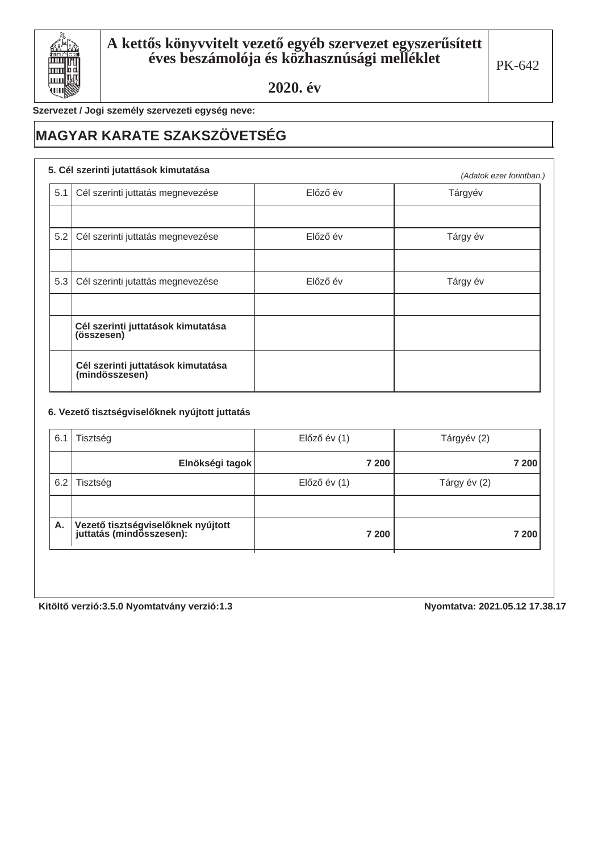

Szervezet / Jogi személy szervezeti egység neve:

## **MAGYAR KARATE SZAKSZÖVETSÉG**

#### 5. Cél szerinti jutattások kimutatása

|     | 5. Cei szerinti jutattasok kimutatasa                |          | (Adatok ezer forintban.) |
|-----|------------------------------------------------------|----------|--------------------------|
| 5.1 | Cél szerinti juttatás megnevezése                    | Előző év | Tárgyév                  |
|     |                                                      |          |                          |
| 5.2 | Cél szerinti juttatás megnevezése                    | Előző év | Tárgy év                 |
|     |                                                      |          |                          |
| 5.3 | Cél szerinti jutattás megnevezése                    | Előző év | Tárgy év                 |
|     |                                                      |          |                          |
|     | Cél szerinti juttatások kimutatása<br>(összesen)     |          |                          |
|     | Cél szerinti juttatások kimutatása<br>(mindösszesen) |          |                          |

#### 6. Vezető tisztségviselőknek nyújtott juttatás

| 6.1 | Tisztség                                                         | $El$ őző év $(1)$ | Tárgyév (2)  |
|-----|------------------------------------------------------------------|-------------------|--------------|
|     | Elnökségi tagok                                                  | 7 200             | 7 200        |
| 6.2 | Tisztség                                                         | $El$ őző év $(1)$ | Tárgy év (2) |
|     |                                                                  |                   |              |
| Α.  | Vezető tisztségviselőknek nyújtott<br>  juttatás (mindösszesen): | 7 200             | 7 200        |
|     |                                                                  |                   |              |

Kitöltő verzió:3.5.0 Nyomtatvány verzió:1.3